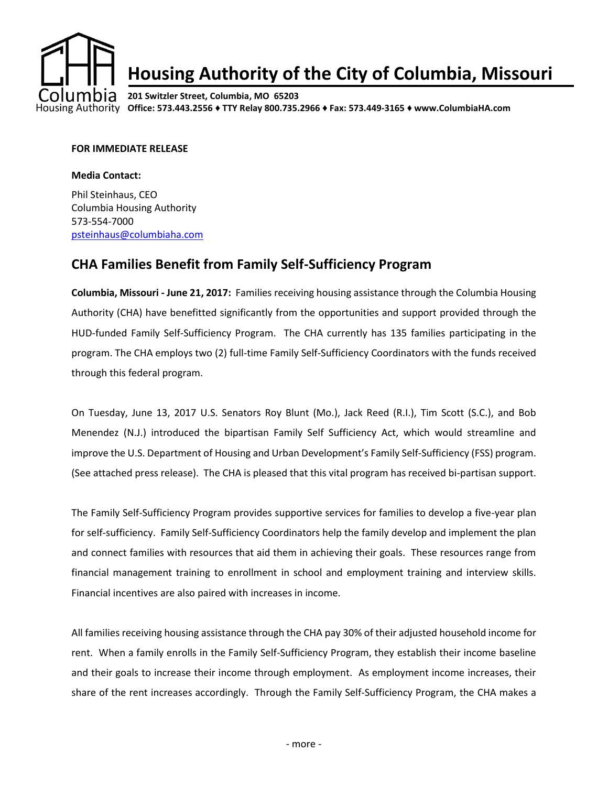

## **Housing Authority of the City of Columbia, Missouri**

**201 Switzler Street, Columbia, MO 65203 Office: 573.443.2556 ♦ TTY Relay 800.735.2966 ♦ Fax: 573.449-3165 ♦ www.ColumbiaHA.com**

## **FOR IMMEDIATE RELEASE**

## **Media Contact:**

Phil Steinhaus, CEO Columbia Housing Authority 573-554-7000 [psteinhaus@columbiaha.com](mailto:psteinhaus@columbiaha.com)

## **CHA Families Benefit from Family Self-Sufficiency Program**

**Columbia, Missouri - June 21, 2017:** Families receiving housing assistance through the Columbia Housing Authority (CHA) have benefitted significantly from the opportunities and support provided through the HUD-funded Family Self-Sufficiency Program. The CHA currently has 135 families participating in the program. The CHA employs two (2) full-time Family Self-Sufficiency Coordinators with the funds received through this federal program.

On Tuesday, June 13, 2017 U.S. Senators Roy Blunt (Mo.), Jack Reed (R.I.), Tim Scott (S.C.), and Bob Menendez (N.J.) introduced the bipartisan Family Self Sufficiency Act, which would streamline and improve the U.S. Department of Housing and Urban Development's Family Self-Sufficiency (FSS) program. (See attached press release). The CHA is pleased that this vital program has received bi-partisan support.

The Family Self-Sufficiency Program provides supportive services for families to develop a five-year plan for self-sufficiency. Family Self-Sufficiency Coordinators help the family develop and implement the plan and connect families with resources that aid them in achieving their goals. These resources range from financial management training to enrollment in school and employment training and interview skills. Financial incentives are also paired with increases in income.

All families receiving housing assistance through the CHA pay 30% of their adjusted household income for rent. When a family enrolls in the Family Self-Sufficiency Program, they establish their income baseline and their goals to increase their income through employment. As employment income increases, their share of the rent increases accordingly. Through the Family Self-Sufficiency Program, the CHA makes a